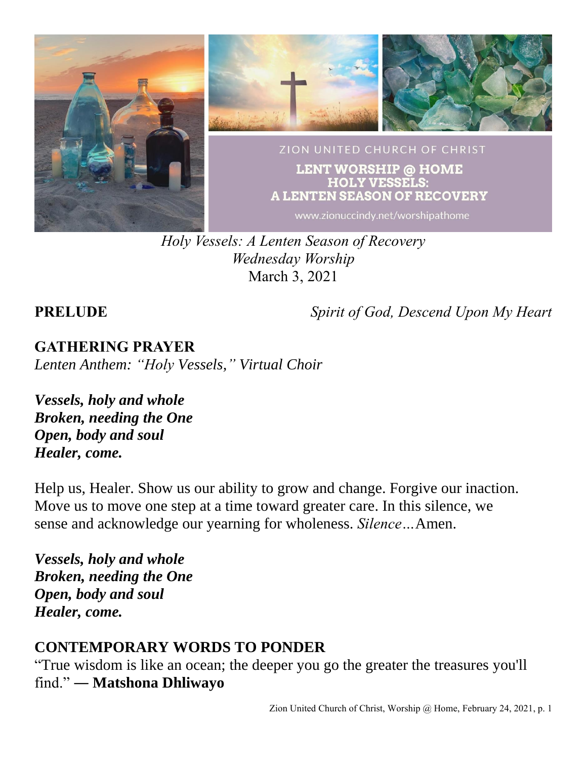

*Holy Vessels: A Lenten Season of Recovery Wednesday Worship* March 3, 2021

**PRELUDE** *Spirit of God, Descend Upon My Heart*

# **GATHERING PRAYER**

*Lenten Anthem: "Holy Vessels," Virtual Choir*

*Vessels, holy and whole Broken, needing the One Open, body and soul Healer, come.*

Help us, Healer. Show us our ability to grow and change. Forgive our inaction. Move us to move one step at a time toward greater care. In this silence, we sense and acknowledge our yearning for wholeness. *Silence…*Amen.

*Vessels, holy and whole Broken, needing the One Open, body and soul Healer, come.*

# **CONTEMPORARY WORDS TO PONDER**

"True wisdom is like an ocean; the deeper you go the greater the treasures you'll find." ― **Matshona Dhliwayo**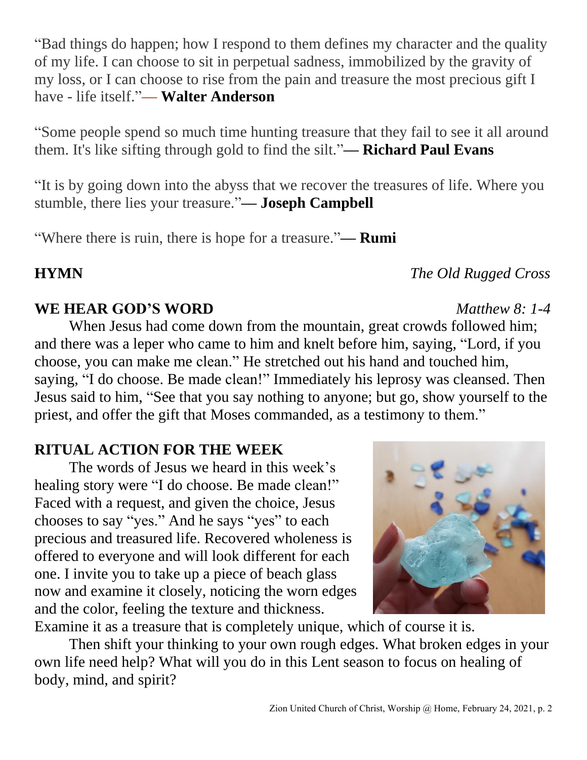"Bad things do happen; how I respond to them defines my character and the quality of my life. I can choose to sit in perpetual sadness, immobilized by the gravity of my loss, or I can choose to rise from the pain and treasure the most precious gift I have - life itself."**–– Walter Anderson**

"Some people spend so much time hunting treasure that they fail to see it all around them. It's like sifting through gold to find the silt."**–– Richard Paul Evans**

"It is by going down into the abyss that we recover the treasures of life. Where you stumble, there lies your treasure."**–– Joseph Campbell**

"Where there is ruin, there is hope for a treasure."**–– Rumi**

#### **WE HEAR GOD'S WORD** *Matthew 8: 1-4*

When Jesus had come down from the mountain, great crowds followed him; and there was a leper who came to him and knelt before him, saying, "Lord, if you choose, you can make me clean." He stretched out his hand and touched him, saying, "I do choose. Be made clean!" Immediately his leprosy was cleansed. Then Jesus said to him, "See that you say nothing to anyone; but go, show yourself to the priest, and offer the gift that Moses commanded, as a testimony to them."

### **RITUAL ACTION FOR THE WEEK**

The words of Jesus we heard in this week's healing story were "I do choose. Be made clean!" Faced with a request, and given the choice, Jesus chooses to say "yes." And he says "yes" to each precious and treasured life. Recovered wholeness is offered to everyone and will look different for each one. I invite you to take up a piece of beach glass now and examine it closely, noticing the worn edges and the color, feeling the texture and thickness.

Examine it as a treasure that is completely unique, which of course it is. Then shift your thinking to your own rough edges. What broken edges in your own life need help? What will you do in this Lent season to focus on healing of body, mind, and spirit?

### **HYMN** *The Old Rugged Cross*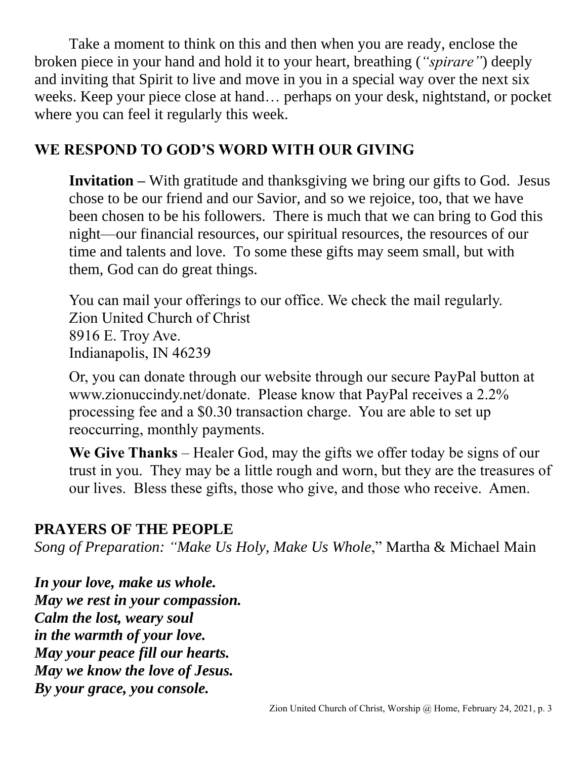Take a moment to think on this and then when you are ready, enclose the broken piece in your hand and hold it to your heart, breathing (*"spirare"*) deeply and inviting that Spirit to live and move in you in a special way over the next six weeks. Keep your piece close at hand… perhaps on your desk, nightstand, or pocket where you can feel it regularly this week.

### **WE RESPOND TO GOD'S WORD WITH OUR GIVING**

**Invitation –** With gratitude and thanksgiving we bring our gifts to God. Jesus chose to be our friend and our Savior, and so we rejoice, too, that we have been chosen to be his followers. There is much that we can bring to God this night—our financial resources, our spiritual resources, the resources of our time and talents and love. To some these gifts may seem small, but with them, God can do great things.

You can mail your offerings to our office. We check the mail regularly. Zion United Church of Christ 8916 E. Troy Ave. Indianapolis, IN 46239

Or, you can donate through our website through our secure PayPal button at www.zionuccindy.net/donate. Please know that PayPal receives a 2.2% processing fee and a \$0.30 transaction charge. You are able to set up reoccurring, monthly payments.

**We Give Thanks** – Healer God, may the gifts we offer today be signs of our trust in you. They may be a little rough and worn, but they are the treasures of our lives. Bless these gifts, those who give, and those who receive. Amen.

# **PRAYERS OF THE PEOPLE**

*Song of Preparation: "Make Us Holy, Make Us Whole*," Martha & Michael Main

*In your love, make us whole. May we rest in your compassion. Calm the lost, weary soul in the warmth of your love. May your peace fill our hearts. May we know the love of Jesus. By your grace, you console.*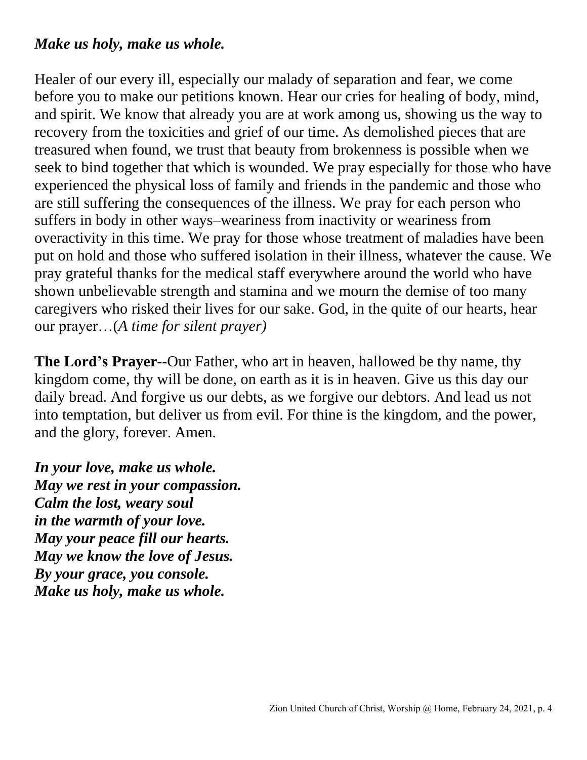#### *Make us holy, make us whole.*

Healer of our every ill, especially our malady of separation and fear, we come before you to make our petitions known. Hear our cries for healing of body, mind, and spirit. We know that already you are at work among us, showing us the way to recovery from the toxicities and grief of our time. As demolished pieces that are treasured when found, we trust that beauty from brokenness is possible when we seek to bind together that which is wounded. We pray especially for those who have experienced the physical loss of family and friends in the pandemic and those who are still suffering the consequences of the illness. We pray for each person who suffers in body in other ways–weariness from inactivity or weariness from overactivity in this time. We pray for those whose treatment of maladies have been put on hold and those who suffered isolation in their illness, whatever the cause. We pray grateful thanks for the medical staff everywhere around the world who have shown unbelievable strength and stamina and we mourn the demise of too many caregivers who risked their lives for our sake. God, in the quite of our hearts, hear our prayer…(*A time for silent prayer)*

**The Lord's Prayer--**Our Father, who art in heaven, hallowed be thy name, thy kingdom come, thy will be done, on earth as it is in heaven. Give us this day our daily bread. And forgive us our debts, as we forgive our debtors. And lead us not into temptation, but deliver us from evil. For thine is the kingdom, and the power, and the glory, forever. Amen.

*In your love, make us whole. May we rest in your compassion. Calm the lost, weary soul in the warmth of your love. May your peace fill our hearts. May we know the love of Jesus. By your grace, you console. Make us holy, make us whole.*